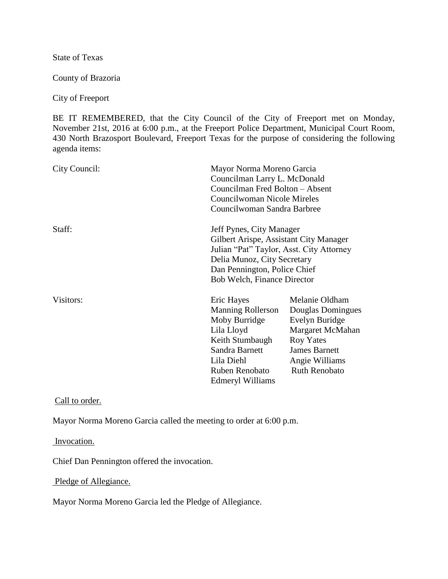State of Texas

County of Brazoria

City of Freeport

BE IT REMEMBERED, that the City Council of the City of Freeport met on Monday, November 21st, 2016 at 6:00 p.m., at the Freeport Police Department, Municipal Court Room, 430 North Brazosport Boulevard, Freeport Texas for the purpose of considering the following agenda items:

| City Council: |                                                                                                                                                                                                                     | Mayor Norma Moreno Garcia<br>Councilman Larry L. McDonald<br>Councilman Fred Bolton - Absent<br><b>Councilwoman Nicole Mireles</b><br>Councilwoman Sandra Barbree |  |
|---------------|---------------------------------------------------------------------------------------------------------------------------------------------------------------------------------------------------------------------|-------------------------------------------------------------------------------------------------------------------------------------------------------------------|--|
| Staff:        | Jeff Pynes, City Manager<br>Gilbert Arispe, Assistant City Manager<br>Julian "Pat" Taylor, Asst. City Attorney<br>Delia Munoz, City Secretary<br>Dan Pennington, Police Chief<br><b>Bob Welch, Finance Director</b> |                                                                                                                                                                   |  |
| Visitors:     | Eric Hayes<br><b>Manning Rollerson</b><br>Moby Burridge<br>Lila Lloyd<br>Keith Stumbaugh<br>Sandra Barnett<br>Lila Diehl<br>Ruben Renobato<br>Edmeryl Williams                                                      | Melanie Oldham<br>Douglas Domingues<br>Evelyn Buridge<br>Margaret McMahan<br><b>Roy Yates</b><br><b>James Barnett</b><br>Angie Williams<br><b>Ruth Renobato</b>   |  |

Call to order.

Mayor Norma Moreno Garcia called the meeting to order at 6:00 p.m.

Invocation.

Chief Dan Pennington offered the invocation.

Pledge of Allegiance.

Mayor Norma Moreno Garcia led the Pledge of Allegiance.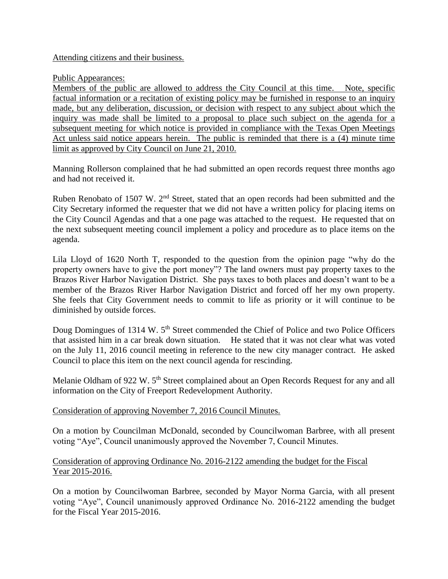### Attending citizens and their business.

### Public Appearances:

Members of the public are allowed to address the City Council at this time. Note, specific factual information or a recitation of existing policy may be furnished in response to an inquiry made, but any deliberation, discussion, or decision with respect to any subject about which the inquiry was made shall be limited to a proposal to place such subject on the agenda for a subsequent meeting for which notice is provided in compliance with the Texas Open Meetings Act unless said notice appears herein. The public is reminded that there is a (4) minute time limit as approved by City Council on June 21, 2010.

Manning Rollerson complained that he had submitted an open records request three months ago and had not received it.

Ruben Renobato of 1507 W. 2nd Street, stated that an open records had been submitted and the City Secretary informed the requester that we did not have a written policy for placing items on the City Council Agendas and that a one page was attached to the request. He requested that on the next subsequent meeting council implement a policy and procedure as to place items on the agenda.

Lila Lloyd of 1620 North T, responded to the question from the opinion page "why do the property owners have to give the port money"? The land owners must pay property taxes to the Brazos River Harbor Navigation District. She pays taxes to both places and doesn't want to be a member of the Brazos River Harbor Navigation District and forced off her my own property. She feels that City Government needs to commit to life as priority or it will continue to be diminished by outside forces.

Doug Domingues of 1314 W. 5<sup>th</sup> Street commended the Chief of Police and two Police Officers that assisted him in a car break down situation. He stated that it was not clear what was voted on the July 11, 2016 council meeting in reference to the new city manager contract. He asked Council to place this item on the next council agenda for rescinding.

Melanie Oldham of 922 W. 5<sup>th</sup> Street complained about an Open Records Request for any and all information on the City of Freeport Redevelopment Authority.

### Consideration of approving November 7, 2016 Council Minutes.

On a motion by Councilman McDonald, seconded by Councilwoman Barbree, with all present voting "Aye", Council unanimously approved the November 7, Council Minutes.

### Consideration of approving Ordinance No. 2016-2122 amending the budget for the Fiscal Year 2015-2016.

On a motion by Councilwoman Barbree, seconded by Mayor Norma Garcia, with all present voting "Aye", Council unanimously approved Ordinance No. 2016-2122 amending the budget for the Fiscal Year 2015-2016.